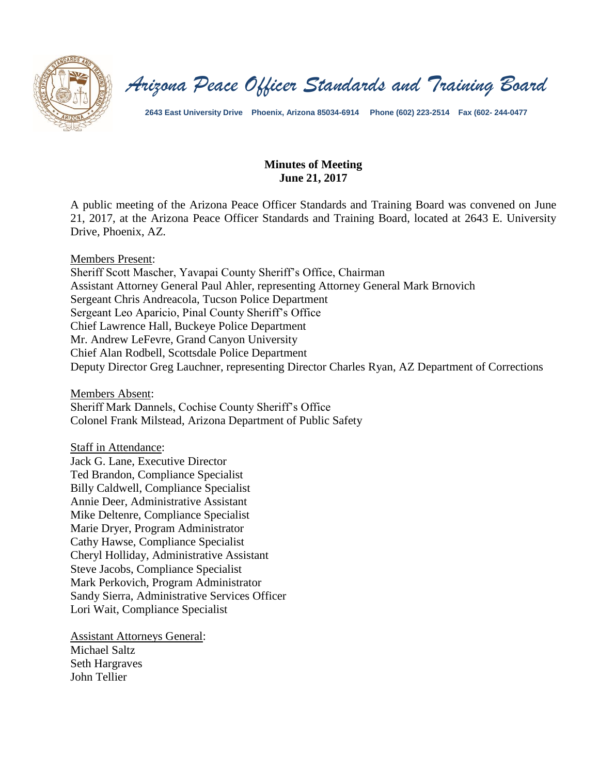

*Arizona Peace Officer Standards and Training Board*

**2643 East University Drive Phoenix, Arizona 85034-6914 Phone (602) 223-2514 Fax (602- 244-0477**

#### **Minutes of Meeting June 21, 2017**

A public meeting of the Arizona Peace Officer Standards and Training Board was convened on June 21, 2017, at the Arizona Peace Officer Standards and Training Board, located at 2643 E. University Drive, Phoenix, AZ.

Members Present:

Sheriff Scott Mascher, Yavapai County Sheriff's Office, Chairman Assistant Attorney General Paul Ahler, representing Attorney General Mark Brnovich Sergeant Chris Andreacola, Tucson Police Department Sergeant Leo Aparicio, Pinal County Sheriff's Office Chief Lawrence Hall, Buckeye Police Department Mr. Andrew LeFevre, Grand Canyon University Chief Alan Rodbell, Scottsdale Police Department Deputy Director Greg Lauchner, representing Director Charles Ryan, AZ Department of Corrections

Members Absent: Sheriff Mark Dannels, Cochise County Sheriff's Office Colonel Frank Milstead, Arizona Department of Public Safety

Staff in Attendance:

Jack G. Lane, Executive Director Ted Brandon, Compliance Specialist Billy Caldwell, Compliance Specialist Annie Deer, Administrative Assistant Mike Deltenre, Compliance Specialist Marie Dryer, Program Administrator Cathy Hawse, Compliance Specialist Cheryl Holliday, Administrative Assistant Steve Jacobs, Compliance Specialist Mark Perkovich, Program Administrator Sandy Sierra, Administrative Services Officer Lori Wait, Compliance Specialist

Assistant Attorneys General: Michael Saltz Seth Hargraves John Tellier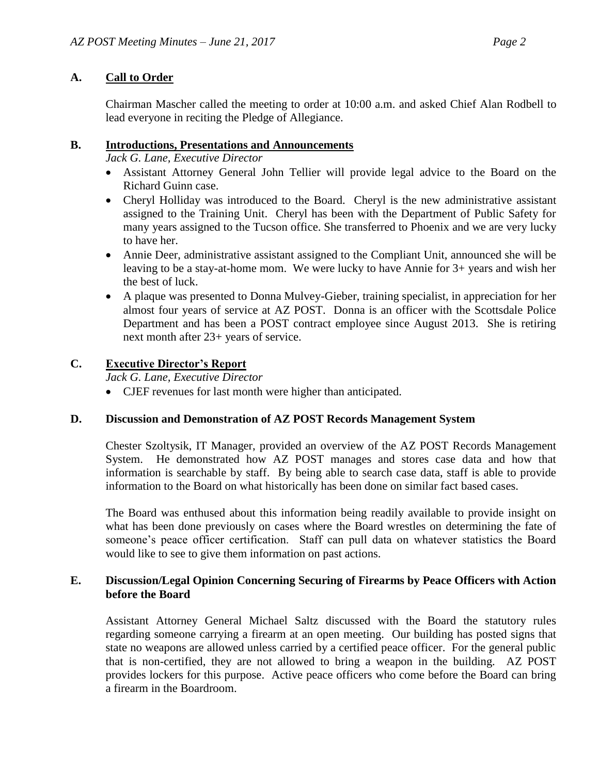# **A. Call to Order**

Chairman Mascher called the meeting to order at 10:00 a.m. and asked Chief Alan Rodbell to lead everyone in reciting the Pledge of Allegiance.

## **B. Introductions, Presentations and Announcements**

*Jack G. Lane, Executive Director*

- Assistant Attorney General John Tellier will provide legal advice to the Board on the Richard Guinn case.
- Cheryl Holliday was introduced to the Board. Cheryl is the new administrative assistant assigned to the Training Unit. Cheryl has been with the Department of Public Safety for many years assigned to the Tucson office. She transferred to Phoenix and we are very lucky to have her.
- Annie Deer, administrative assistant assigned to the Compliant Unit, announced she will be leaving to be a stay-at-home mom. We were lucky to have Annie for 3+ years and wish her the best of luck.
- A plaque was presented to Donna Mulvey-Gieber, training specialist, in appreciation for her almost four years of service at AZ POST. Donna is an officer with the Scottsdale Police Department and has been a POST contract employee since August 2013. She is retiring next month after 23+ years of service.

## **C. Executive Director's Report**

*Jack G. Lane, Executive Director*

CJEF revenues for last month were higher than anticipated.

### **D. Discussion and Demonstration of AZ POST Records Management System**

Chester Szoltysik, IT Manager, provided an overview of the AZ POST Records Management System. He demonstrated how AZ POST manages and stores case data and how that information is searchable by staff. By being able to search case data, staff is able to provide information to the Board on what historically has been done on similar fact based cases.

The Board was enthused about this information being readily available to provide insight on what has been done previously on cases where the Board wrestles on determining the fate of someone's peace officer certification. Staff can pull data on whatever statistics the Board would like to see to give them information on past actions.

### **E. Discussion/Legal Opinion Concerning Securing of Firearms by Peace Officers with Action before the Board**

Assistant Attorney General Michael Saltz discussed with the Board the statutory rules regarding someone carrying a firearm at an open meeting. Our building has posted signs that state no weapons are allowed unless carried by a certified peace officer. For the general public that is non-certified, they are not allowed to bring a weapon in the building. AZ POST provides lockers for this purpose. Active peace officers who come before the Board can bring a firearm in the Boardroom.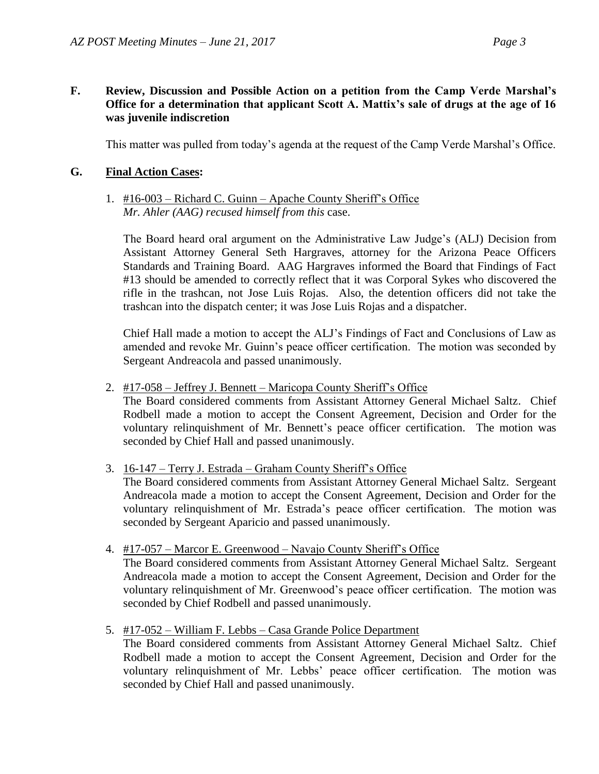### **F. Review, Discussion and Possible Action on a petition from the Camp Verde Marshal's Office for a determination that applicant Scott A. Mattix's sale of drugs at the age of 16 was juvenile indiscretion**

This matter was pulled from today's agenda at the request of the Camp Verde Marshal's Office.

### **G. Final Action Cases:**

### 1. #16-003 – Richard C. Guinn – Apache County Sheriff's Office *Mr. Ahler (AAG) recused himself from this* case.

The Board heard oral argument on the Administrative Law Judge's (ALJ) Decision from Assistant Attorney General Seth Hargraves, attorney for the Arizona Peace Officers Standards and Training Board. AAG Hargraves informed the Board that Findings of Fact #13 should be amended to correctly reflect that it was Corporal Sykes who discovered the rifle in the trashcan, not Jose Luis Rojas. Also, the detention officers did not take the trashcan into the dispatch center; it was Jose Luis Rojas and a dispatcher.

Chief Hall made a motion to accept the ALJ's Findings of Fact and Conclusions of Law as amended and revoke Mr. Guinn's peace officer certification. The motion was seconded by Sergeant Andreacola and passed unanimously.

2. #17-058 – Jeffrey J. Bennett – Maricopa County Sheriff's Office

The Board considered comments from Assistant Attorney General Michael Saltz. Chief Rodbell made a motion to accept the Consent Agreement, Decision and Order for the voluntary relinquishment of Mr. Bennett's peace officer certification. The motion was seconded by Chief Hall and passed unanimously.

3. 16-147 – Terry J. Estrada – Graham County Sheriff's Office

The Board considered comments from Assistant Attorney General Michael Saltz. Sergeant Andreacola made a motion to accept the Consent Agreement, Decision and Order for the voluntary relinquishment of Mr. Estrada's peace officer certification. The motion was seconded by Sergeant Aparicio and passed unanimously.

4. #17-057 – Marcor E. Greenwood – Navajo County Sheriff's Office

The Board considered comments from Assistant Attorney General Michael Saltz. Sergeant Andreacola made a motion to accept the Consent Agreement, Decision and Order for the voluntary relinquishment of Mr. Greenwood's peace officer certification. The motion was seconded by Chief Rodbell and passed unanimously.

5. #17-052 – William F. Lebbs – Casa Grande Police Department

The Board considered comments from Assistant Attorney General Michael Saltz. Chief Rodbell made a motion to accept the Consent Agreement, Decision and Order for the voluntary relinquishment of Mr. Lebbs' peace officer certification. The motion was seconded by Chief Hall and passed unanimously.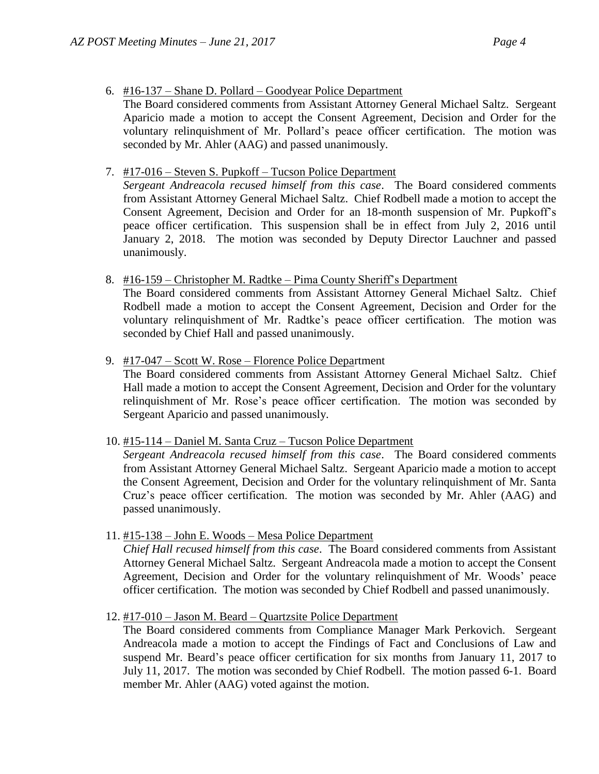- 6. #16-137 Shane D. Pollard Goodyear Police Department
	- The Board considered comments from Assistant Attorney General Michael Saltz. Sergeant Aparicio made a motion to accept the Consent Agreement, Decision and Order for the voluntary relinquishment of Mr. Pollard's peace officer certification. The motion was seconded by Mr. Ahler (AAG) and passed unanimously.
- 7. #17-016 Steven S. Pupkoff Tucson Police Department

*Sergeant Andreacola recused himself from this case*. The Board considered comments from Assistant Attorney General Michael Saltz. Chief Rodbell made a motion to accept the Consent Agreement, Decision and Order for an 18-month suspension of Mr. Pupkoff's peace officer certification. This suspension shall be in effect from July 2, 2016 until January 2, 2018. The motion was seconded by Deputy Director Lauchner and passed unanimously.

8. #16-159 – Christopher M. Radtke – Pima County Sheriff's Department

The Board considered comments from Assistant Attorney General Michael Saltz. Chief Rodbell made a motion to accept the Consent Agreement, Decision and Order for the voluntary relinquishment of Mr. Radtke's peace officer certification. The motion was seconded by Chief Hall and passed unanimously.

9. #17-047 – Scott W. Rose – Florence Police Department

The Board considered comments from Assistant Attorney General Michael Saltz. Chief Hall made a motion to accept the Consent Agreement, Decision and Order for the voluntary relinquishment of Mr. Rose's peace officer certification. The motion was seconded by Sergeant Aparicio and passed unanimously.

10. #15-114 – Daniel M. Santa Cruz – Tucson Police Department

*Sergeant Andreacola recused himself from this case*. The Board considered comments from Assistant Attorney General Michael Saltz. Sergeant Aparicio made a motion to accept the Consent Agreement, Decision and Order for the voluntary relinquishment of Mr. Santa Cruz's peace officer certification. The motion was seconded by Mr. Ahler (AAG) and passed unanimously.

11. #15-138 – John E. Woods – Mesa Police Department

*Chief Hall recused himself from this case*. The Board considered comments from Assistant Attorney General Michael Saltz. Sergeant Andreacola made a motion to accept the Consent Agreement, Decision and Order for the voluntary relinquishment of Mr. Woods' peace officer certification. The motion was seconded by Chief Rodbell and passed unanimously.

12. #17-010 – Jason M. Beard – Quartzsite Police Department

The Board considered comments from Compliance Manager Mark Perkovich. Sergeant Andreacola made a motion to accept the Findings of Fact and Conclusions of Law and suspend Mr. Beard's peace officer certification for six months from January 11, 2017 to July 11, 2017. The motion was seconded by Chief Rodbell. The motion passed 6-1. Board member Mr. Ahler (AAG) voted against the motion.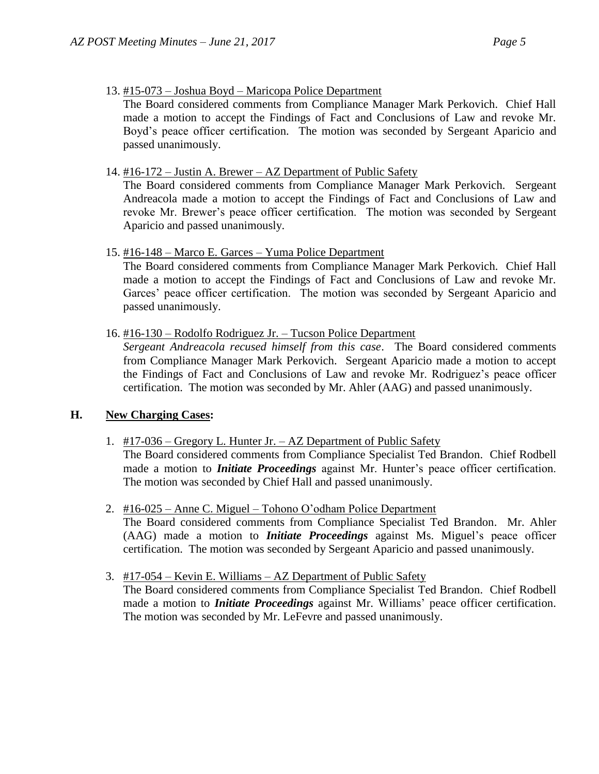13. #15-073 – Joshua Boyd – Maricopa Police Department

The Board considered comments from Compliance Manager Mark Perkovich. Chief Hall made a motion to accept the Findings of Fact and Conclusions of Law and revoke Mr. Boyd's peace officer certification. The motion was seconded by Sergeant Aparicio and passed unanimously.

14. #16-172 – Justin A. Brewer – AZ Department of Public Safety

The Board considered comments from Compliance Manager Mark Perkovich. Sergeant Andreacola made a motion to accept the Findings of Fact and Conclusions of Law and revoke Mr. Brewer's peace officer certification. The motion was seconded by Sergeant Aparicio and passed unanimously.

### 15. #16-148 – Marco E. Garces – Yuma Police Department

The Board considered comments from Compliance Manager Mark Perkovich. Chief Hall made a motion to accept the Findings of Fact and Conclusions of Law and revoke Mr. Garces' peace officer certification. The motion was seconded by Sergeant Aparicio and passed unanimously.

16. #16-130 – Rodolfo Rodriguez Jr. – Tucson Police Department

*Sergeant Andreacola recused himself from this case*. The Board considered comments from Compliance Manager Mark Perkovich. Sergeant Aparicio made a motion to accept the Findings of Fact and Conclusions of Law and revoke Mr. Rodriguez's peace officer certification. The motion was seconded by Mr. Ahler (AAG) and passed unanimously.

### **H. New Charging Cases:**

1. #17-036 – Gregory L. Hunter Jr. – AZ Department of Public Safety

The Board considered comments from Compliance Specialist Ted Brandon. Chief Rodbell made a motion to *Initiate Proceedings* against Mr. Hunter's peace officer certification. The motion was seconded by Chief Hall and passed unanimously.

2. #16-025 – Anne C. Miguel – Tohono O'odham Police Department

The Board considered comments from Compliance Specialist Ted Brandon. Mr. Ahler (AAG) made a motion to *Initiate Proceedings* against Ms. Miguel's peace officer certification. The motion was seconded by Sergeant Aparicio and passed unanimously.

3. #17-054 – Kevin E. Williams – AZ Department of Public Safety

The Board considered comments from Compliance Specialist Ted Brandon. Chief Rodbell made a motion to *Initiate Proceedings* against Mr. Williams' peace officer certification. The motion was seconded by Mr. LeFevre and passed unanimously.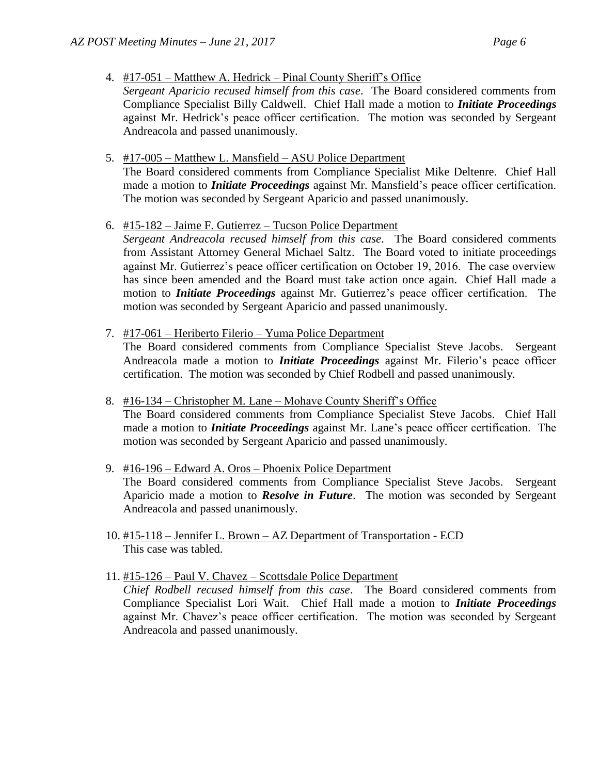- 4. #17-051 Matthew A. Hedrick Pinal County Sheriff's Office
	- *Sergeant Aparicio recused himself from this case*. The Board considered comments from Compliance Specialist Billy Caldwell. Chief Hall made a motion to *Initiate Proceedings* against Mr. Hedrick's peace officer certification. The motion was seconded by Sergeant Andreacola and passed unanimously.
- 5. #17-005 Matthew L. Mansfield ASU Police Department The Board considered comments from Compliance Specialist Mike Deltenre. Chief Hall made a motion to *Initiate Proceedings* against Mr. Mansfield's peace officer certification. The motion was seconded by Sergeant Aparicio and passed unanimously.
- 6. #15-182 Jaime F. Gutierrez Tucson Police Department

*Sergeant Andreacola recused himself from this case*. The Board considered comments from Assistant Attorney General Michael Saltz. The Board voted to initiate proceedings against Mr. Gutierrez's peace officer certification on October 19, 2016. The case overview has since been amended and the Board must take action once again. Chief Hall made a motion to *Initiate Proceedings* against Mr. Gutierrez's peace officer certification. The motion was seconded by Sergeant Aparicio and passed unanimously.

7. #17-061 – Heriberto Filerio – Yuma Police Department

The Board considered comments from Compliance Specialist Steve Jacobs. Sergeant Andreacola made a motion to *Initiate Proceedings* against Mr. Filerio's peace officer certification. The motion was seconded by Chief Rodbell and passed unanimously.

- 8. #16-134 Christopher M. Lane Mohave County Sheriff's Office The Board considered comments from Compliance Specialist Steve Jacobs. Chief Hall made a motion to *Initiate Proceedings* against Mr. Lane's peace officer certification. The motion was seconded by Sergeant Aparicio and passed unanimously.
- 9. #16-196 Edward A. Oros Phoenix Police Department The Board considered comments from Compliance Specialist Steve Jacobs. Sergeant Aparicio made a motion to *Resolve in Future*. The motion was seconded by Sergeant Andreacola and passed unanimously.
- 10. #15-118 Jennifer L. Brown AZ Department of Transportation ECD This case was tabled.
- 11. #15-126 Paul V. Chavez Scottsdale Police Department *Chief Rodbell recused himself from this case*. The Board considered comments from Compliance Specialist Lori Wait. Chief Hall made a motion to *Initiate Proceedings* against Mr. Chavez's peace officer certification. The motion was seconded by Sergeant Andreacola and passed unanimously.